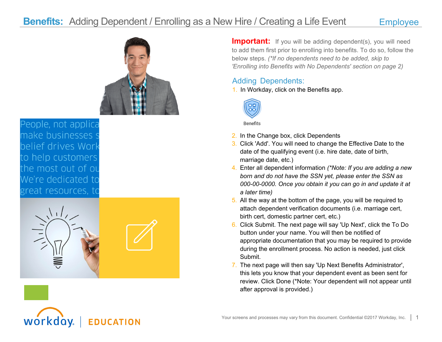## **Benefits:** Adding Dependent / Enrolling as a New Hire / Creating a Life Event Employee



People, not applica make businesses s belief drives Work to help customers the most out of ou We're dedicated to great resources, to

workday.



**EDUCATION** 

**Important:** If you will be adding dependent(s), you will need to add them first prior to enrolling into benefits. To do so, follow the below steps. *(\*If no dependents need to be added, skip to 'Enrolling into Benefits with No Dependents' section on page 2)*

## Adding Dependents:

1. In Workday, click on the Benefits app.



Benefits

- 2. In the Change box, click Dependents
- 3. Click 'Add'. You will need to change the Effective Date to the date of the qualifying event (i.e. hire date, date of birth, marriage date, etc.)
- 4. Enter all dependent information *(\*Note: If you are adding a new born and do not have the SSN yet, please enter the SSN as 000-00-0000. Once you obtain it you can go in and update it at a later time)*
- 5. All the way at the bottom of the page, you will be required to attach dependent verification documents (i.e. marriage cert, birth cert, domestic partner cert, etc.)
- 6. Click Submit. The next page will say 'Up Next', click the To Do button under your name. You will then be notified of appropriate documentation that you may be required to provide during the enrollment process. No action is needed, just click Submit.
- 7. The next page will then say 'Up Next Benefits Administrator', this lets you know that your dependent event as been sent for review. Click Done (\*Note: Your dependent will not appear until after approval is provided.)